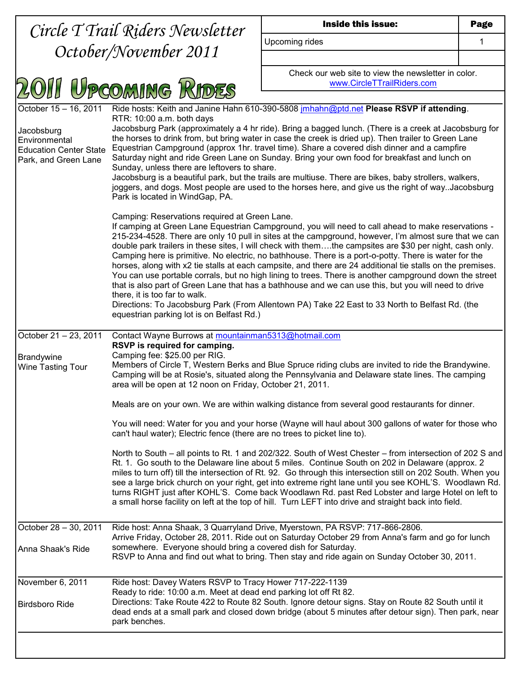|                                                                                                        | Circle T Trail Riders Newsletter                                                                                                                                                                                                                                                                                                                                                                                                                                                                                                                                                                                                                                                                                                                                                                                                           | Inside this issue:                                                                                                                                                                                                                                                                                                                                                                                                                                                                                                                                                                                                                                                                                                                                                                                                                                                 | Page |
|--------------------------------------------------------------------------------------------------------|--------------------------------------------------------------------------------------------------------------------------------------------------------------------------------------------------------------------------------------------------------------------------------------------------------------------------------------------------------------------------------------------------------------------------------------------------------------------------------------------------------------------------------------------------------------------------------------------------------------------------------------------------------------------------------------------------------------------------------------------------------------------------------------------------------------------------------------------|--------------------------------------------------------------------------------------------------------------------------------------------------------------------------------------------------------------------------------------------------------------------------------------------------------------------------------------------------------------------------------------------------------------------------------------------------------------------------------------------------------------------------------------------------------------------------------------------------------------------------------------------------------------------------------------------------------------------------------------------------------------------------------------------------------------------------------------------------------------------|------|
| October/November 2011                                                                                  |                                                                                                                                                                                                                                                                                                                                                                                                                                                                                                                                                                                                                                                                                                                                                                                                                                            | Upcoming rides                                                                                                                                                                                                                                                                                                                                                                                                                                                                                                                                                                                                                                                                                                                                                                                                                                                     | 1    |
|                                                                                                        |                                                                                                                                                                                                                                                                                                                                                                                                                                                                                                                                                                                                                                                                                                                                                                                                                                            |                                                                                                                                                                                                                                                                                                                                                                                                                                                                                                                                                                                                                                                                                                                                                                                                                                                                    |      |
|                                                                                                        | I Upcoming Rides                                                                                                                                                                                                                                                                                                                                                                                                                                                                                                                                                                                                                                                                                                                                                                                                                           | Check our web site to view the newsletter in color.<br>www.CircleTTrailRiders.com                                                                                                                                                                                                                                                                                                                                                                                                                                                                                                                                                                                                                                                                                                                                                                                  |      |
|                                                                                                        |                                                                                                                                                                                                                                                                                                                                                                                                                                                                                                                                                                                                                                                                                                                                                                                                                                            |                                                                                                                                                                                                                                                                                                                                                                                                                                                                                                                                                                                                                                                                                                                                                                                                                                                                    |      |
| October 15 - 16, 2011<br>Jacobsburg<br>Environmental<br>Education Center State<br>Park, and Green Lane | Ride hosts: Keith and Janine Hahn 610-390-5808 jmhahn@ptd.net Please RSVP if attending.<br>RTR: 10:00 a.m. both days<br>Jacobsburg Park (approximately a 4 hr ride). Bring a bagged lunch. (There is a creek at Jacobsburg for<br>the horses to drink from, but bring water in case the creek is dried up). Then trailer to Green Lane<br>Equestrian Campground (approx 1hr. travel time). Share a covered dish dinner and a campfire<br>Saturday night and ride Green Lane on Sunday. Bring your own food for breakfast and lunch on<br>Sunday, unless there are leftovers to share.<br>Jacobsburg is a beautiful park, but the trails are multiuse. There are bikes, baby strollers, walkers,<br>joggers, and dogs. Most people are used to the horses here, and give us the right of way. Jacobsburg<br>Park is located in WindGap, PA. |                                                                                                                                                                                                                                                                                                                                                                                                                                                                                                                                                                                                                                                                                                                                                                                                                                                                    |      |
|                                                                                                        | Camping: Reservations required at Green Lane.<br>there, it is too far to walk.<br>equestrian parking lot is on Belfast Rd.)                                                                                                                                                                                                                                                                                                                                                                                                                                                                                                                                                                                                                                                                                                                | If camping at Green Lane Equestrian Campground, you will need to call ahead to make reservations -<br>215-234-4528. There are only 10 pull in sites at the campground, however, I'm almost sure that we can<br>double park trailers in these sites, I will check with themthe campsites are \$30 per night, cash only.<br>Camping here is primitive. No electric, no bathhouse. There is a port-o-potty. There is water for the<br>horses, along with x2 tie stalls at each campsite, and there are 24 additional tie stalls on the premises.<br>You can use portable corrals, but no high lining to trees. There is another campground down the street<br>that is also part of Green Lane that has a bathhouse and we can use this, but you will need to drive<br>Directions: To Jacobsburg Park (From Allentown PA) Take 22 East to 33 North to Belfast Rd. (the |      |
| October 21 - 23, 2011<br>Brandywine<br><b>Wine Tasting Tour</b>                                        | Contact Wayne Burrows at mountainman5313@hotmail.com<br>RSVP is required for camping.<br>Camping fee: \$25.00 per RIG.<br>Members of Circle T, Western Berks and Blue Spruce riding clubs are invited to ride the Brandywine.<br>Camping will be at Rosie's, situated along the Pennsylvania and Delaware state lines. The camping<br>area will be open at 12 noon on Friday, October 21, 2011.                                                                                                                                                                                                                                                                                                                                                                                                                                            |                                                                                                                                                                                                                                                                                                                                                                                                                                                                                                                                                                                                                                                                                                                                                                                                                                                                    |      |
|                                                                                                        |                                                                                                                                                                                                                                                                                                                                                                                                                                                                                                                                                                                                                                                                                                                                                                                                                                            | Meals are on your own. We are within walking distance from several good restaurants for dinner.                                                                                                                                                                                                                                                                                                                                                                                                                                                                                                                                                                                                                                                                                                                                                                    |      |
|                                                                                                        | can't haul water); Electric fence (there are no trees to picket line to).                                                                                                                                                                                                                                                                                                                                                                                                                                                                                                                                                                                                                                                                                                                                                                  | You will need: Water for you and your horse (Wayne will haul about 300 gallons of water for those who                                                                                                                                                                                                                                                                                                                                                                                                                                                                                                                                                                                                                                                                                                                                                              |      |
|                                                                                                        |                                                                                                                                                                                                                                                                                                                                                                                                                                                                                                                                                                                                                                                                                                                                                                                                                                            | North to South – all points to Rt. 1 and 202/322. South of West Chester – from intersection of 202 S and<br>Rt. 1. Go south to the Delaware line about 5 miles. Continue South on 202 in Delaware (approx. 2<br>miles to turn off) till the intersection of Rt. 92. Go through this intersection still on 202 South. When you<br>see a large brick church on your right, get into extreme right lane until you see KOHL'S. Woodlawn Rd.<br>turns RIGHT just after KOHL'S. Come back Woodlawn Rd. past Red Lobster and large Hotel on left to<br>a small horse facility on left at the top of hill. Turn LEFT into drive and straight back into field.                                                                                                                                                                                                              |      |
| October 28 - 30, 2011                                                                                  |                                                                                                                                                                                                                                                                                                                                                                                                                                                                                                                                                                                                                                                                                                                                                                                                                                            | Ride host: Anna Shaak, 3 Quarryland Drive, Myerstown, PA RSVP: 717-866-2806.<br>Arrive Friday, October 28, 2011. Ride out on Saturday October 29 from Anna's farm and go for lunch                                                                                                                                                                                                                                                                                                                                                                                                                                                                                                                                                                                                                                                                                 |      |
| Anna Shaak's Ride                                                                                      | somewhere. Everyone should bring a covered dish for Saturday.                                                                                                                                                                                                                                                                                                                                                                                                                                                                                                                                                                                                                                                                                                                                                                              | RSVP to Anna and find out what to bring. Then stay and ride again on Sunday October 30, 2011.                                                                                                                                                                                                                                                                                                                                                                                                                                                                                                                                                                                                                                                                                                                                                                      |      |
| November 6, 2011<br><b>Birdsboro Ride</b>                                                              | Ride host: Davey Waters RSVP to Tracy Hower 717-222-1139<br>Ready to ride: 10:00 a.m. Meet at dead end parking lot off Rt 82.<br>park benches.                                                                                                                                                                                                                                                                                                                                                                                                                                                                                                                                                                                                                                                                                             | Directions: Take Route 422 to Route 82 South. Ignore detour signs. Stay on Route 82 South until it<br>dead ends at a small park and closed down bridge (about 5 minutes after detour sign). Then park, near                                                                                                                                                                                                                                                                                                                                                                                                                                                                                                                                                                                                                                                        |      |
|                                                                                                        |                                                                                                                                                                                                                                                                                                                                                                                                                                                                                                                                                                                                                                                                                                                                                                                                                                            |                                                                                                                                                                                                                                                                                                                                                                                                                                                                                                                                                                                                                                                                                                                                                                                                                                                                    |      |